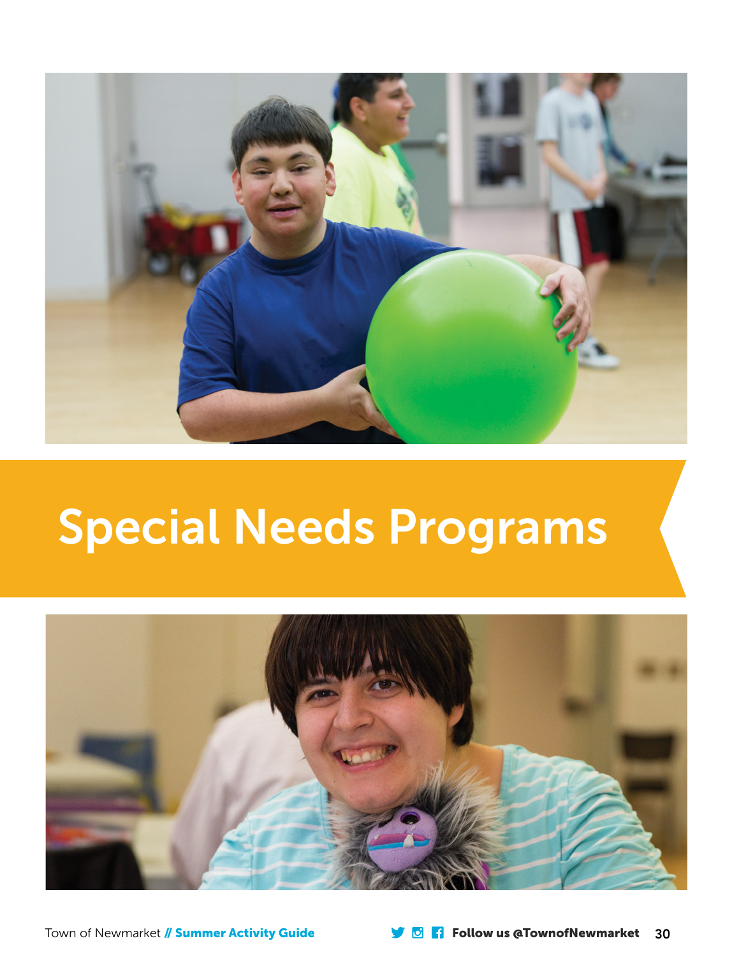

# Special Needs Programs



Town of Newmarket // Summer Activity Guide Follow us @TownofNewmarket 30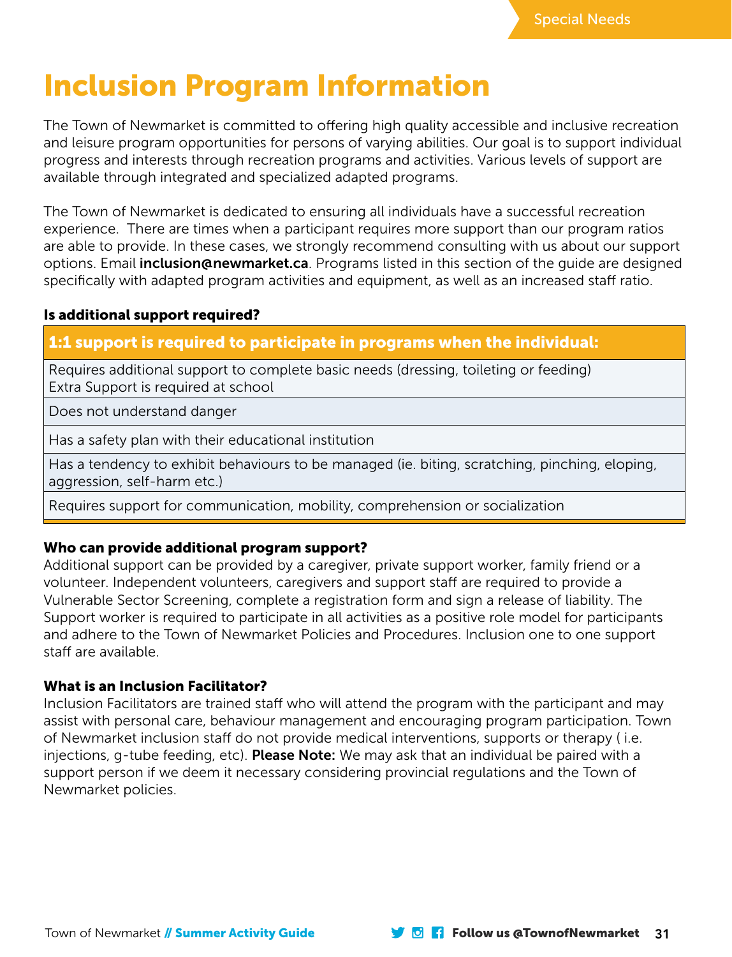

# Inclusion Program Information

The Town of Newmarket is committed to offering high quality accessible and inclusive recreation and leisure program opportunities for persons of varying abilities. Our goal is to support individual progress and interests through recreation programs and activities. Various levels of support are available through integrated and specialized adapted programs.

The Town of Newmarket is dedicated to ensuring all individuals have a successful recreation experience. There are times when a participant requires more support than our program ratios are able to provide. In these cases, we strongly recommend consulting with us about our support options. Email **inclusion@newmarket.ca**. Programs listed in this section of the quide are designed specifically with adapted program activities and equipment, as well as an increased staff ratio.

### Is additional support required?

# 1:1 support is required to participate in programs when the individual:

Requires additional support to complete basic needs (dressing, toileting or feeding) Extra Support is required at school

Does not understand danger

Has a safety plan with their educational institution

Has a tendency to exhibit behaviours to be managed (ie. biting, scratching, pinching, eloping, aggression, self-harm etc.)

Requires support for communication, mobility, comprehension or socialization

### Who can provide additional program support?

Additional support can be provided by a caregiver, private support worker, family friend or a volunteer. Independent volunteers, caregivers and support staff are required to provide a Vulnerable Sector Screening, complete a registration form and sign a release of liability. The Support worker is required to participate in all activities as a positive role model for participants and adhere to the Town of Newmarket Policies and Procedures. Inclusion one to one support staff are available.

### What is an Inclusion Facilitator?

Inclusion Facilitators are trained staff who will attend the program with the participant and may assist with personal care, behaviour management and encouraging program participation. Town of Newmarket inclusion staff do not provide medical interventions, supports or therapy ( i.e. injections, g-tube feeding, etc). **Please Note:** We may ask that an individual be paired with a support person if we deem it necessary considering provincial regulations and the Town of Newmarket policies.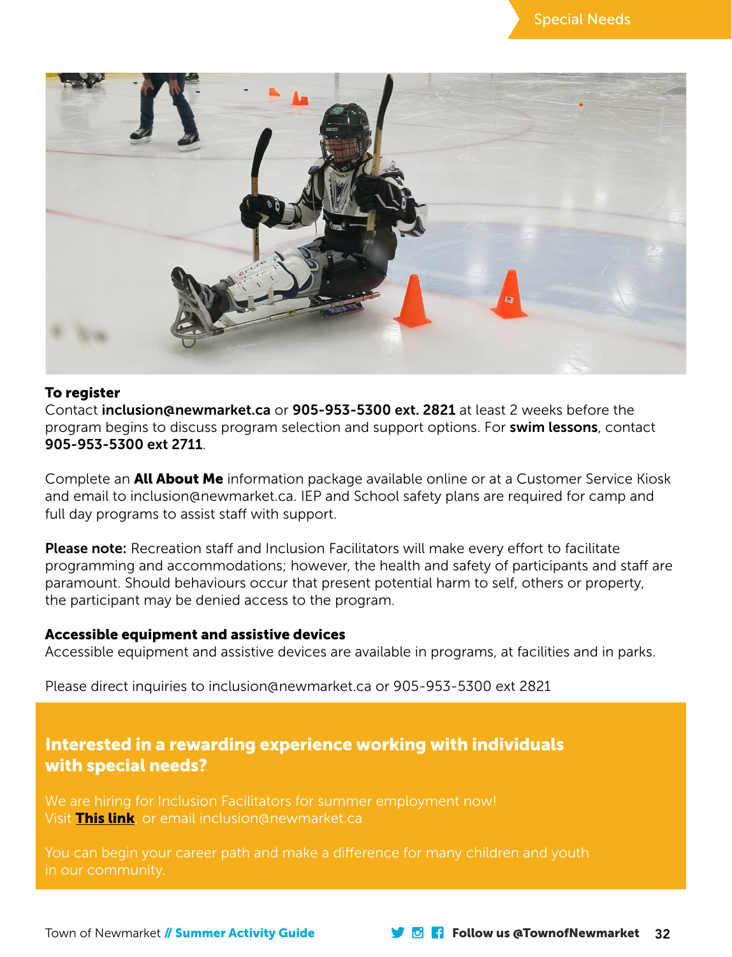

#### To register

Contact i[nclusion@newmarket.ca](mailto:Inclusion@newmarket.ca) or 905-953-5300 ext. 2821 at least 2 weeks before the program begins to discuss program selection and support options. For swim lessons, contact 905-953-5300 ext 2711.

Complete an **All About Me** information package available online or at a Customer Service Kiosk and email to inclusio[n@newmarket.ca.](mailto:pmcintosh@newmarket.ca) IEP and School safety plans are required for camp and full day programs to assist staff with support.

Please note: Recreation staff and Inclusion Facilitators will make every effort to facilitate programming and accommodations; however, the health and safety of participants and staff are paramount. Should behaviours occur that present potential harm to self, others or property, the participant may be denied access to the program.

### Accessible equipment and assistive devices

Accessible equipment and assistive devices are available in programs, at facilities and in parks.

Please direct inquiries to [inclusion@newmarket.ca](mailto:inclusion@newmarket.ca) or 905-953-5300 ext 2821

# Interested in a rewarding experience working with individuals with special needs?

We are hiring for Inclusion Facilitators for summer employment now! Visit [This link](https://newmarket.hua.hrsmart.com/hr/ats/JobSearch/viewAll), or email inclusion@newmarket.ca

You can begin your career path and make a difference for many children and youth in our community.